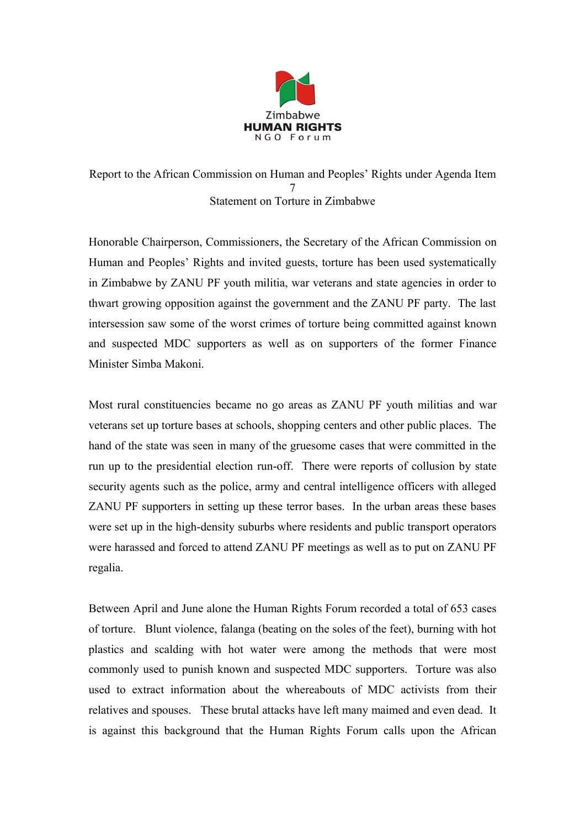

Report to the African Commission on Human and Peoples' Rights under Agenda Item 7 Statement on Torture in Zimbabwe

Honorable Chairperson, Commissioners, the Secretary of the African Commission on Human and Peoples' Rights and invited guests, torture has been used systematically in Zimbabwe by ZANU PF youth militia, war veterans and state agencies in order to thwart growing opposition against the government and the ZANU PF party. The last intersession saw some of the worst crimes of torture being committed against known and suspected MDC supporters as well as on supporters of the former Finance Minister Simba Makoni.

Most rural constituencies became no go areas as ZANU PF youth militias and war veterans set up torture bases at schools, shopping centers and other public places. The hand of the state was seen in many of the gruesome cases that were committed in the run up to the presidential election run-off. There were reports of collusion by state security agents such as the police, army and central intelligence officers with alleged ZANU PF supporters in setting up these terror bases. In the urban areas these bases were set up in the high-density suburbs where residents and public transport operators were harassed and forced to attend ZANU PF meetings as well as to put on ZANU PF regalia.

Between April and June alone the Human Rights Forum recorded a total of 653 cases of torture. Blunt violence, falanga (beating on the soles of the feet), burning with hot plastics and scalding with hot water were among the methods that were most commonly used to punish known and suspected MDC supporters. Torture was also used to extract information about the whereabouts of MDC activists from their relatives and spouses. These brutal attacks have left many maimed and even dead. It is against this background that the Human Rights Forum calls upon the African